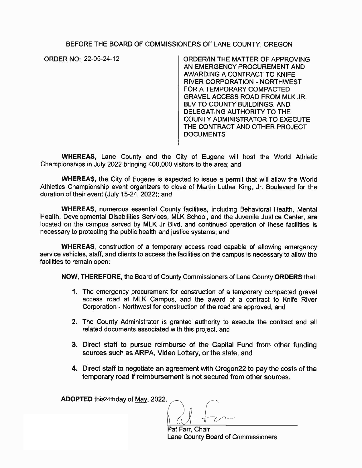## BEFORE THE BOARD OF COMMISSIONERS OF LANE COUNTY, OREGON

ORDER NO: 22-05-24-12

ORDER/IN THE MATTER OF APPROVING AN EMERGENCY PROCUREMENT AND AWARDING A CONTRACT TO KNIFE RIVER CORPORATION - NORTHWEST FOR A TEMPORARY COMPACTED GRAVEL ACCESS ROAD FROM MLK JR. BLV TO COUNTY BUILDINGS, AND DELEGATING AUTHORITY TO THE COUNTY ADMINISTRATOR TO EXECUTE THE CONTRACT AND OTHER PROJECT **DOCUMENTS** 

**WHEREAS;** Lane County and the City of Eugene will host the World Athletic Championships in July 2022 bringing 400,000 visitors to the area; and

**WHEREAS,** the City of Eugene is expected to issue a permit that will allow the World Athletics Championship event organizers to close of Martin Luther King, Jr. Boulevard for the duration of their event (July 15-24, 2022); and

**WHEREAS,** numerous essential County facilities, including Behavioral Health, Mental Health, Developmental Disabilities Services, MLK School, and the Juvenile Justice Center, are located on the campus served by MLK Jr Blvd, and continued operation of these facilities is necessary to protecting the public health and justice systems; and

**WHEREAS,** construction of a temporary access road capable of allowing emergency service vehicles, staff, and clients to access the facilities on the campus is necessary to allow the facilities to remain open:

**NOW, THEREFORE,** the Board of County Commissioners of Lane County **ORDERS** that:

- **1.** The emergency procurement for construction of a temporary compacted gravel access road at MLK Campus, and the award of a contract to Knife River Corporation - Northwest for construction of the road are approved, and
- 2. The County Administrator is granted authority to execute the contract and all related documents associated with this project, and
- 3. Direct staff to pursue reimburse of the Capital Fund from other funding sources such as ARPA, Video Lottery, or the state, and
- **4.** Direct staff to negotiate an agreement with Oregon22 to pay the costs of the temporary road if reimbursement is not secured from other sources.

**ADOPTED** this 24th day of May, 2022.

Pat Farr, Chair Lane County Board of Commissioners